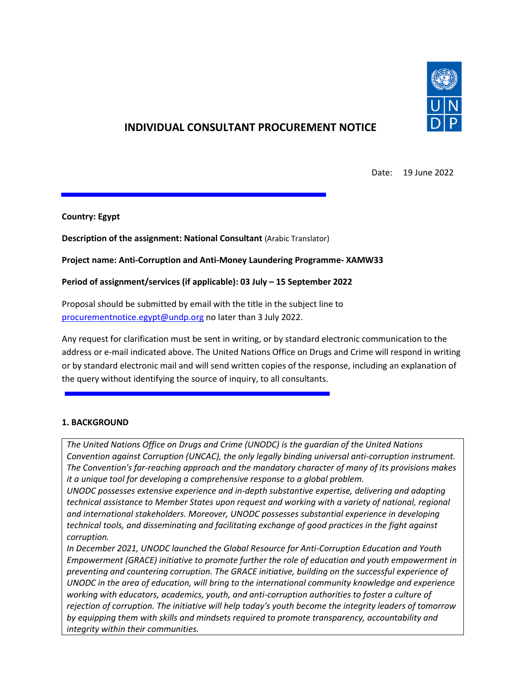

# **INDIVIDUAL CONSULTANT PROCUREMENT NOTICE**

Date: 19 June 2022

#### **Country: Egypt**

**Description of the assignment: National Consultant** (Arabic Translator)

#### **Project name: Anti-Corruption and Anti-Money Laundering Programme- XAMW33**

#### **Period of assignment/services (if applicable): 03 July – 15 September 2022**

Proposal should be submitted by email with the title in the subject line to [procurementnotice.egypt@undp.org](mailto:procurementnotice.egypt@undp.org) no later than 3 July 2022.

Any request for clarification must be sent in writing, or by standard electronic communication to the address or e-mail indicated above. The United Nations Office on Drugs and Crime will respond in writing or by standard electronic mail and will send written copies of the response, including an explanation of the query without identifying the source of inquiry, to all consultants.

#### **1. BACKGROUND**

*The United Nations Office on Drugs and Crime (UNODC) is the guardian of the United Nations Convention against Corruption (UNCAC), the only legally binding universal anti-corruption instrument. The Convention's far-reaching approach and the mandatory character of many of its provisions makes it a unique tool for developing a comprehensive response to a global problem.*

*UNODC possesses extensive experience and in-depth substantive expertise, delivering and adapting technical assistance to Member States upon request and working with a variety of national, regional and international stakeholders. Moreover, UNODC possesses substantial experience in developing technical tools, and disseminating and facilitating exchange of good practices in the fight against corruption.*

*In December 2021, UNODC launched the Global Resource for Anti-Corruption Education and Youth Empowerment (GRACE) initiative to promote further the role of education and youth empowerment in preventing and countering corruption. The GRACE initiative, building on the successful experience of UNODC in the area of education, will bring to the international community knowledge and experience working with educators, academics, youth, and anti-corruption authorities to foster a culture of rejection of corruption. The initiative will help today's youth become the integrity leaders of tomorrow by equipping them with skills and mindsets required to promote transparency, accountability and integrity within their communities.*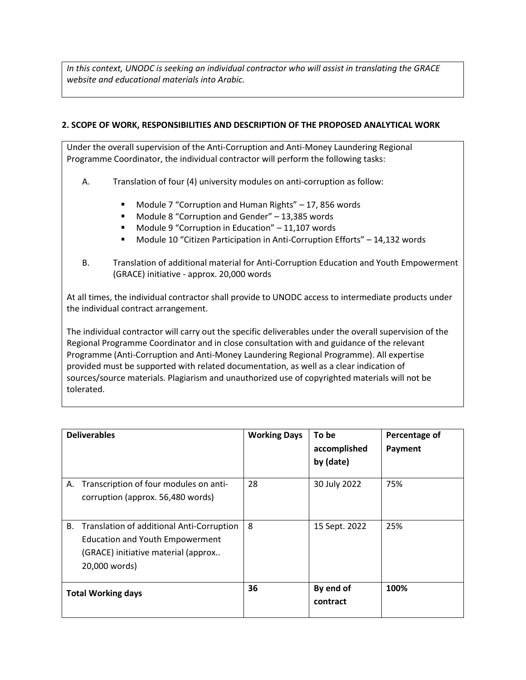*In this context, UNODC is seeking an individual contractor who will assist in translating the GRACE website and educational materials into Arabic.* 

### **2. SCOPE OF WORK, RESPONSIBILITIES AND DESCRIPTION OF THE PROPOSED ANALYTICAL WORK**

Under the overall supervision of the Anti-Corruption and Anti-Money Laundering Regional Programme Coordinator, the individual contractor will perform the following tasks:

- A. Translation of four (4) university modules on anti-corruption as follow:
	- Module 7 "Corruption and Human Rights" 17, 856 words
	- Module 8 "Corruption and Gender" 13,385 words
	- Module 9 "Corruption in Education" 11,107 words
	- Module 10 "Citizen Participation in Anti-Corruption Efforts" 14,132 words
- B. Translation of additional material for Anti-Corruption Education and Youth Empowerment (GRACE) initiative - approx. 20,000 words

At all times, the individual contractor shall provide to UNODC access to intermediate products under the individual contract arrangement.

The individual contractor will carry out the specific deliverables under the overall supervision of the Regional Programme Coordinator and in close consultation with and guidance of the relevant Programme (Anti-Corruption and Anti-Money Laundering Regional Programme). All expertise provided must be supported with related documentation, as well as a clear indication of sources/source materials. Plagiarism and unauthorized use of copyrighted materials will not be tolerated.

| <b>Deliverables</b>                                                                                                                               | <b>Working Days</b> | To be<br>accomplished<br>by (date) | Percentage of<br>Payment |
|---------------------------------------------------------------------------------------------------------------------------------------------------|---------------------|------------------------------------|--------------------------|
| Transcription of four modules on anti-<br>А.<br>corruption (approx. 56,480 words)                                                                 | 28                  | 30 July 2022                       | 75%                      |
| В.<br>Translation of additional Anti-Corruption<br><b>Education and Youth Empowerment</b><br>(GRACE) initiative material (approx<br>20,000 words) | 8                   | 15 Sept. 2022                      | 25%                      |
| <b>Total Working days</b>                                                                                                                         | 36                  | By end of<br>contract              | 100%                     |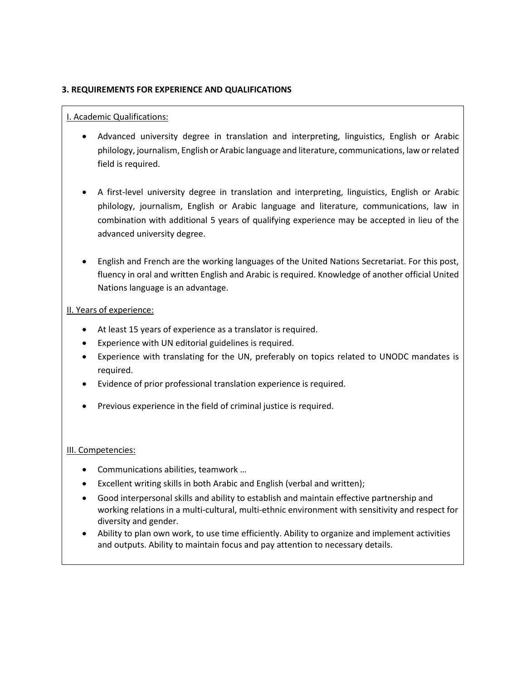#### **3. REQUIREMENTS FOR EXPERIENCE AND QUALIFICATIONS**

#### I. Academic Qualifications:

- Advanced university degree in translation and interpreting, linguistics, English or Arabic philology, journalism, English or Arabic language and literature, communications, law or related field is required.
- A first-level university degree in translation and interpreting, linguistics, English or Arabic philology, journalism, English or Arabic language and literature, communications, law in combination with additional 5 years of qualifying experience may be accepted in lieu of the advanced university degree.
- English and French are the working languages of the United Nations Secretariat. For this post, fluency in oral and written English and Arabic is required. Knowledge of another official United Nations language is an advantage.

#### II. Years of experience:

- At least 15 years of experience as a translator is required.
- Experience with UN editorial guidelines is required.
- Experience with translating for the UN, preferably on topics related to UNODC mandates is required.
- Evidence of prior professional translation experience is required.
- Previous experience in the field of criminal justice is required.

#### III. Competencies:

- Communications abilities, teamwork …
- Excellent writing skills in both Arabic and English (verbal and written);
- Good interpersonal skills and ability to establish and maintain effective partnership and working relations in a multi-cultural, multi-ethnic environment with sensitivity and respect for diversity and gender.
- Ability to plan own work, to use time efficiently. Ability to organize and implement activities and outputs. Ability to maintain focus and pay attention to necessary details.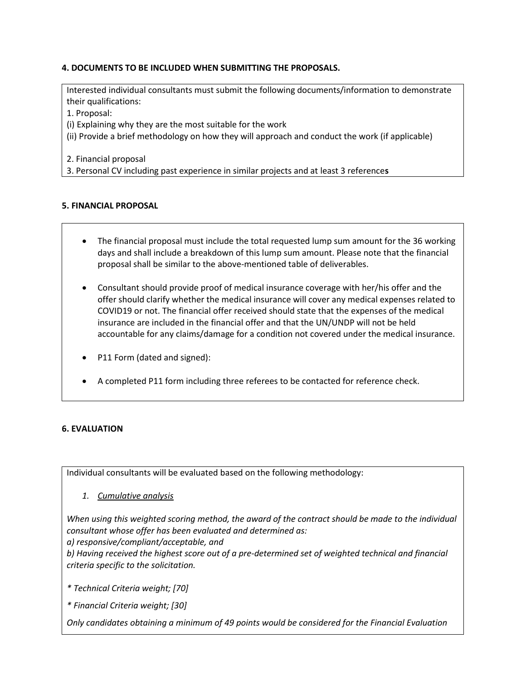### **4. DOCUMENTS TO BE INCLUDED WHEN SUBMITTING THE PROPOSALS.**

Interested individual consultants must submit the following documents/information to demonstrate their qualifications:

1. Proposal:

(i) Explaining why they are the most suitable for the work

(ii) Provide a brief methodology on how they will approach and conduct the work (if applicable)

2. Financial proposal

3. Personal CV including past experience in similar projects and at least 3 reference**s**

#### **5. FINANCIAL PROPOSAL**

- The financial proposal must include the total requested lump sum amount for the 36 working days and shall include a breakdown of this lump sum amount. Please note that the financial proposal shall be similar to the above-mentioned table of deliverables.
- Consultant should provide proof of medical insurance coverage with her/his offer and the offer should clarify whether the medical insurance will cover any medical expenses related to COVID19 or not. The financial offer received should state that the expenses of the medical insurance are included in the financial offer and that the UN/UNDP will not be held accountable for any claims/damage for a condition not covered under the medical insurance.
- P11 Form (dated and signed):
- A completed P11 form including three referees to be contacted for reference check.

### **6. EVALUATION**

Individual consultants will be evaluated based on the following methodology:

*1. Cumulative analysis* 

*When using this weighted scoring method, the award of the contract should be made to the individual consultant whose offer has been evaluated and determined as:*

*a) responsive/compliant/acceptable, and*

*b) Having received the highest score out of a pre-determined set of weighted technical and financial criteria specific to the solicitation.* 

*\* Technical Criteria weight; [70]*

*\* Financial Criteria weight; [30]*

*Only candidates obtaining a minimum of 49 points would be considered for the Financial Evaluation*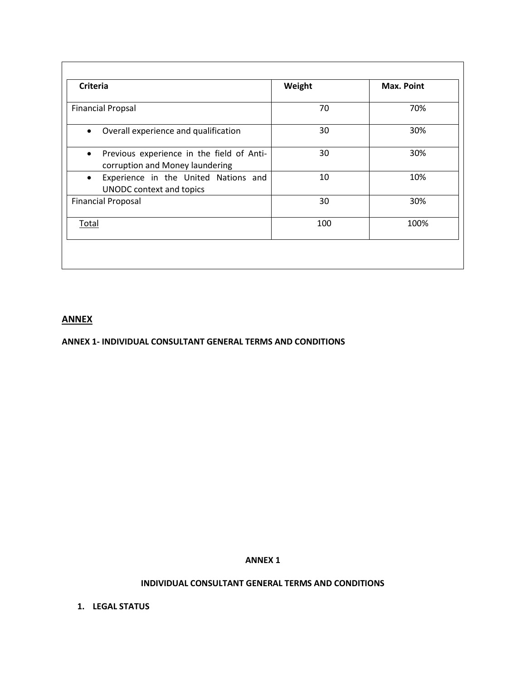| <b>Criteria</b>                                                                           | Weight | Max. Point |
|-------------------------------------------------------------------------------------------|--------|------------|
| <b>Financial Propsal</b>                                                                  | 70     | 70%        |
| Overall experience and qualification<br>$\bullet$                                         | 30     | 30%        |
| Previous experience in the field of Anti-<br>$\bullet$<br>corruption and Money laundering | 30     | 30%        |
| Experience in the United Nations and<br>$\bullet$<br><b>UNODC</b> context and topics      | 10     | 10%        |
| <b>Financial Proposal</b>                                                                 | 30     | 30%        |
| Total                                                                                     | 100    | 100%       |

# **ANNEX**

#### **ANNEX 1- INDIVIDUAL CONSULTANT GENERAL TERMS AND CONDITIONS**

#### **ANNEX 1**

### **INDIVIDUAL CONSULTANT GENERAL TERMS AND CONDITIONS**

**1. LEGAL STATUS**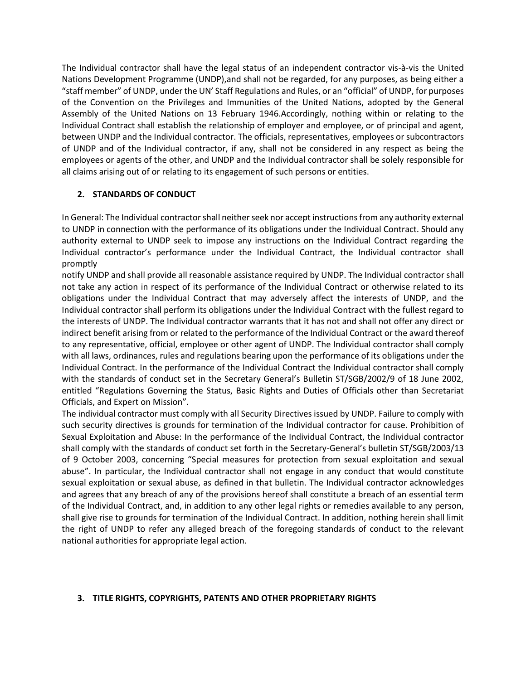The Individual contractor shall have the legal status of an independent contractor vis-à-vis the United Nations Development Programme (UNDP), and shall not be regarded, for any purposes, as being either a "staff member" of UNDP, under the UN' Staff Regulations and Rules, or an "official" of UNDP, for purposes of the Convention on the Privileges and Immunities of the United Nations, adopted by the General Assembly of the United Nations on 13 February 1946.Accordingly, nothing within or relating to the Individual Contract shall establish the relationship of employer and employee, or of principal and agent, between UNDP and the Individual contractor. The officials, representatives, employees or subcontractors of UNDP and of the Individual contractor, if any, shall not be considered in any respect as being the employees or agents of the other, and UNDP and the Individual contractor shall be solely responsible for all claims arising out of or relating to its engagement of such persons or entities.

### **2. STANDARDS OF CONDUCT**

In General: The Individual contractor shall neither seek nor accept instructions from any authority external to UNDP in connection with the performance of its obligations under the Individual Contract. Should any authority external to UNDP seek to impose any instructions on the Individual Contract regarding the Individual contractor's performance under the Individual Contract, the Individual contractor shall promptly

notify UNDP and shall provide all reasonable assistance required by UNDP. The Individual contractor shall not take any action in respect of its performance of the Individual Contract or otherwise related to its obligations under the Individual Contract that may adversely affect the interests of UNDP, and the Individual contractor shall perform its obligations under the Individual Contract with the fullest regard to the interests of UNDP. The Individual contractor warrants that it has not and shall not offer any direct or indirect benefit arising from or related to the performance of the Individual Contract or the award thereof to any representative, official, employee or other agent of UNDP. The Individual contractor shall comply with all laws, ordinances, rules and regulations bearing upon the performance of its obligations under the Individual Contract. In the performance of the Individual Contract the Individual contractor shall comply with the standards of conduct set in the Secretary General's Bulletin ST/SGB/2002/9 of 18 June 2002, entitled "Regulations Governing the Status, Basic Rights and Duties of Officials other than Secretariat Officials, and Expert on Mission".

The individual contractor must comply with all Security Directives issued by UNDP. Failure to comply with such security directives is grounds for termination of the Individual contractor for cause. Prohibition of Sexual Exploitation and Abuse: In the performance of the Individual Contract, the Individual contractor shall comply with the standards of conduct set forth in the Secretary-General's bulletin ST/SGB/2003/13 of 9 October 2003, concerning "Special measures for protection from sexual exploitation and sexual abuse". In particular, the Individual contractor shall not engage in any conduct that would constitute sexual exploitation or sexual abuse, as defined in that bulletin. The Individual contractor acknowledges and agrees that any breach of any of the provisions hereof shall constitute a breach of an essential term of the Individual Contract, and, in addition to any other legal rights or remedies available to any person, shall give rise to grounds for termination of the Individual Contract. In addition, nothing herein shall limit the right of UNDP to refer any alleged breach of the foregoing standards of conduct to the relevant national authorities for appropriate legal action.

### **3. TITLE RIGHTS, COPYRIGHTS, PATENTS AND OTHER PROPRIETARY RIGHTS**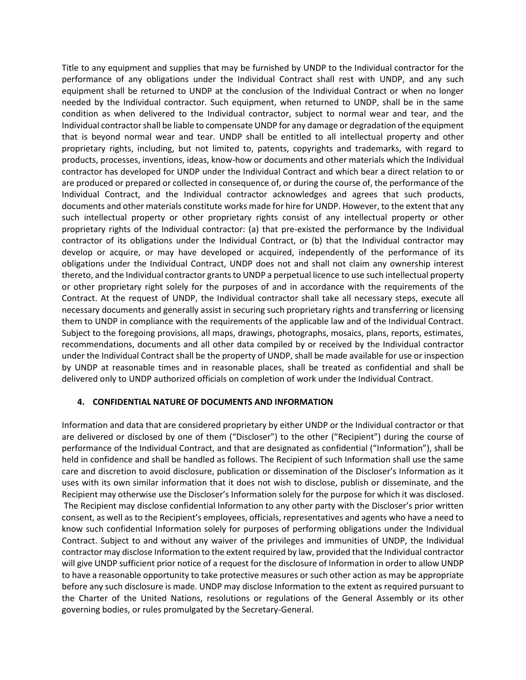Title to any equipment and supplies that may be furnished by UNDP to the Individual contractor for the performance of any obligations under the Individual Contract shall rest with UNDP, and any such equipment shall be returned to UNDP at the conclusion of the Individual Contract or when no longer needed by the Individual contractor. Such equipment, when returned to UNDP, shall be in the same condition as when delivered to the Individual contractor, subject to normal wear and tear, and the Individual contractor shall be liable to compensate UNDP for any damage or degradation of the equipment that is beyond normal wear and tear. UNDP shall be entitled to all intellectual property and other proprietary rights, including, but not limited to, patents, copyrights and trademarks, with regard to products, processes, inventions, ideas, know-how or documents and other materials which the Individual contractor has developed for UNDP under the Individual Contract and which bear a direct relation to or are produced or prepared or collected in consequence of, or during the course of, the performance of the Individual Contract, and the Individual contractor acknowledges and agrees that such products, documents and other materials constitute works made for hire for UNDP. However, to the extent that any such intellectual property or other proprietary rights consist of any intellectual property or other proprietary rights of the Individual contractor: (a) that pre-existed the performance by the Individual contractor of its obligations under the Individual Contract, or (b) that the Individual contractor may develop or acquire, or may have developed or acquired, independently of the performance of its obligations under the Individual Contract, UNDP does not and shall not claim any ownership interest thereto, and the Individual contractor grants to UNDP a perpetual licence to use such intellectual property or other proprietary right solely for the purposes of and in accordance with the requirements of the Contract. At the request of UNDP, the Individual contractor shall take all necessary steps, execute all necessary documents and generally assist in securing such proprietary rights and transferring or licensing them to UNDP in compliance with the requirements of the applicable law and of the Individual Contract. Subject to the foregoing provisions, all maps, drawings, photographs, mosaics, plans, reports, estimates, recommendations, documents and all other data compiled by or received by the Individual contractor under the Individual Contract shall be the property of UNDP, shall be made available for use or inspection by UNDP at reasonable times and in reasonable places, shall be treated as confidential and shall be delivered only to UNDP authorized officials on completion of work under the Individual Contract.

#### **4. CONFIDENTIAL NATURE OF DOCUMENTS AND INFORMATION**

Information and data that are considered proprietary by either UNDP or the Individual contractor or that are delivered or disclosed by one of them ("Discloser") to the other ("Recipient") during the course of performance of the Individual Contract, and that are designated as confidential ("Information"), shall be held in confidence and shall be handled as follows. The Recipient of such Information shall use the same care and discretion to avoid disclosure, publication or dissemination of the Discloser's Information as it uses with its own similar information that it does not wish to disclose, publish or disseminate, and the Recipient may otherwise use the Discloser's Information solely for the purpose for which it was disclosed. The Recipient may disclose confidential Information to any other party with the Discloser's prior written consent, as well as to the Recipient's employees, officials, representatives and agents who have a need to know such confidential Information solely for purposes of performing obligations under the Individual Contract. Subject to and without any waiver of the privileges and immunities of UNDP, the Individual contractor may disclose Information to the extent required by law, provided that the Individual contractor will give UNDP sufficient prior notice of a request for the disclosure of Information in order to allow UNDP to have a reasonable opportunity to take protective measures or such other action as may be appropriate before any such disclosure is made. UNDP may disclose Information to the extent as required pursuant to the Charter of the United Nations, resolutions or regulations of the General Assembly or its other governing bodies, or rules promulgated by the Secretary-General.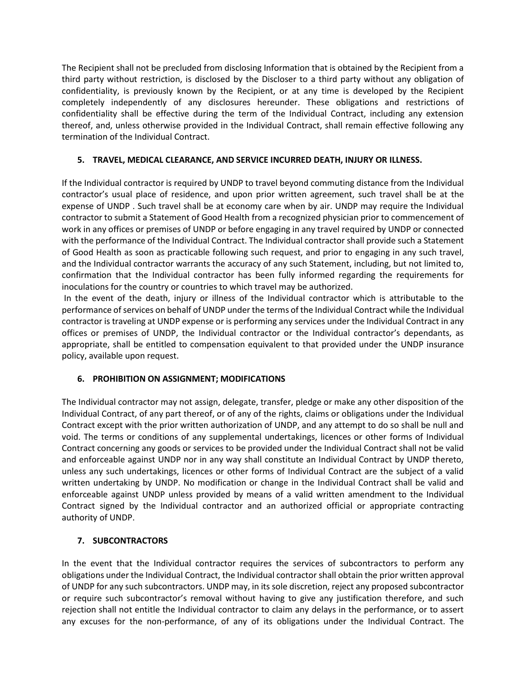The Recipient shall not be precluded from disclosing Information that is obtained by the Recipient from a third party without restriction, is disclosed by the Discloser to a third party without any obligation of confidentiality, is previously known by the Recipient, or at any time is developed by the Recipient completely independently of any disclosures hereunder. These obligations and restrictions of confidentiality shall be effective during the term of the Individual Contract, including any extension thereof, and, unless otherwise provided in the Individual Contract, shall remain effective following any termination of the Individual Contract.

### **5. TRAVEL, MEDICAL CLEARANCE, AND SERVICE INCURRED DEATH, INJURY OR ILLNESS.**

If the Individual contractor is required by UNDP to travel beyond commuting distance from the Individual contractor's usual place of residence, and upon prior written agreement, such travel shall be at the expense of UNDP . Such travel shall be at economy care when by air. UNDP may require the Individual contractor to submit a Statement of Good Health from a recognized physician prior to commencement of work in any offices or premises of UNDP or before engaging in any travel required by UNDP or connected with the performance of the Individual Contract. The Individual contractor shall provide such a Statement of Good Health as soon as practicable following such request, and prior to engaging in any such travel, and the Individual contractor warrants the accuracy of any such Statement, including, but not limited to, confirmation that the Individual contractor has been fully informed regarding the requirements for inoculations for the country or countries to which travel may be authorized.

In the event of the death, injury or illness of the Individual contractor which is attributable to the performance of services on behalf of UNDP under the terms of the Individual Contract while the Individual contractor is traveling at UNDP expense or is performing any services under the Individual Contract in any offices or premises of UNDP, the Individual contractor or the Individual contractor's dependants, as appropriate, shall be entitled to compensation equivalent to that provided under the UNDP insurance policy, available upon request.

### **6. PROHIBITION ON ASSIGNMENT; MODIFICATIONS**

The Individual contractor may not assign, delegate, transfer, pledge or make any other disposition of the Individual Contract, of any part thereof, or of any of the rights, claims or obligations under the Individual Contract except with the prior written authorization of UNDP, and any attempt to do so shall be null and void. The terms or conditions of any supplemental undertakings, licences or other forms of Individual Contract concerning any goods or services to be provided under the Individual Contract shall not be valid and enforceable against UNDP nor in any way shall constitute an Individual Contract by UNDP thereto, unless any such undertakings, licences or other forms of Individual Contract are the subject of a valid written undertaking by UNDP. No modification or change in the Individual Contract shall be valid and enforceable against UNDP unless provided by means of a valid written amendment to the Individual Contract signed by the Individual contractor and an authorized official or appropriate contracting authority of UNDP.

## **7. SUBCONTRACTORS**

In the event that the Individual contractor requires the services of subcontractors to perform any obligations under the Individual Contract, the Individual contractor shall obtain the prior written approval of UNDP for any such subcontractors. UNDP may, in its sole discretion, reject any proposed subcontractor or require such subcontractor's removal without having to give any justification therefore, and such rejection shall not entitle the Individual contractor to claim any delays in the performance, or to assert any excuses for the non-performance, of any of its obligations under the Individual Contract. The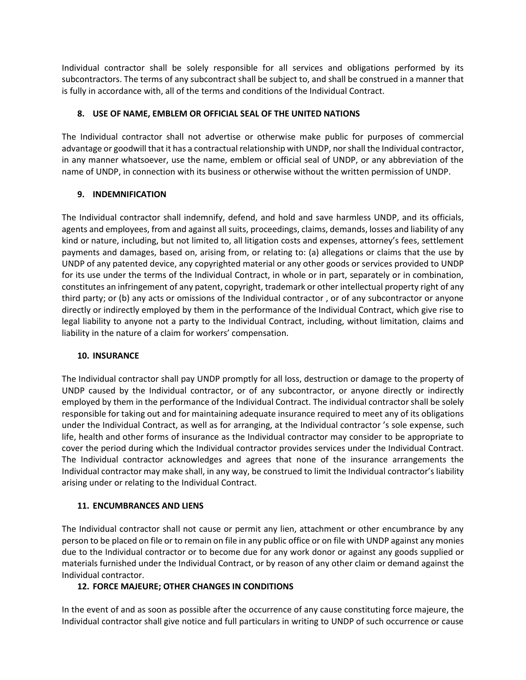Individual contractor shall be solely responsible for all services and obligations performed by its subcontractors. The terms of any subcontract shall be subject to, and shall be construed in a manner that is fully in accordance with, all of the terms and conditions of the Individual Contract.

### **8. USE OF NAME, EMBLEM OR OFFICIAL SEAL OF THE UNITED NATIONS**

The Individual contractor shall not advertise or otherwise make public for purposes of commercial advantage or goodwill that it has a contractual relationship with UNDP, nor shall the Individual contractor, in any manner whatsoever, use the name, emblem or official seal of UNDP, or any abbreviation of the name of UNDP, in connection with its business or otherwise without the written permission of UNDP.

### **9. INDEMNIFICATION**

The Individual contractor shall indemnify, defend, and hold and save harmless UNDP, and its officials, agents and employees, from and against all suits, proceedings, claims, demands, losses and liability of any kind or nature, including, but not limited to, all litigation costs and expenses, attorney's fees, settlement payments and damages, based on, arising from, or relating to: (a) allegations or claims that the use by UNDP of any patented device, any copyrighted material or any other goods or services provided to UNDP for its use under the terms of the Individual Contract, in whole or in part, separately or in combination, constitutes an infringement of any patent, copyright, trademark or other intellectual property right of any third party; or (b) any acts or omissions of the Individual contractor , or of any subcontractor or anyone directly or indirectly employed by them in the performance of the Individual Contract, which give rise to legal liability to anyone not a party to the Individual Contract, including, without limitation, claims and liability in the nature of a claim for workers' compensation.

### **10. INSURANCE**

The Individual contractor shall pay UNDP promptly for all loss, destruction or damage to the property of UNDP caused by the Individual contractor, or of any subcontractor, or anyone directly or indirectly employed by them in the performance of the Individual Contract. The individual contractor shall be solely responsible for taking out and for maintaining adequate insurance required to meet any of its obligations under the Individual Contract, as well as for arranging, at the Individual contractor 's sole expense, such life, health and other forms of insurance as the Individual contractor may consider to be appropriate to cover the period during which the Individual contractor provides services under the Individual Contract. The Individual contractor acknowledges and agrees that none of the insurance arrangements the Individual contractor may make shall, in any way, be construed to limit the Individual contractor's liability arising under or relating to the Individual Contract.

### **11. ENCUMBRANCES AND LIENS**

The Individual contractor shall not cause or permit any lien, attachment or other encumbrance by any person to be placed on file or to remain on file in any public office or on file with UNDP against any monies due to the Individual contractor or to become due for any work donor or against any goods supplied or materials furnished under the Individual Contract, or by reason of any other claim or demand against the Individual contractor.

### **12. FORCE MAJEURE; OTHER CHANGES IN CONDITIONS**

In the event of and as soon as possible after the occurrence of any cause constituting force majeure, the Individual contractor shall give notice and full particulars in writing to UNDP of such occurrence or cause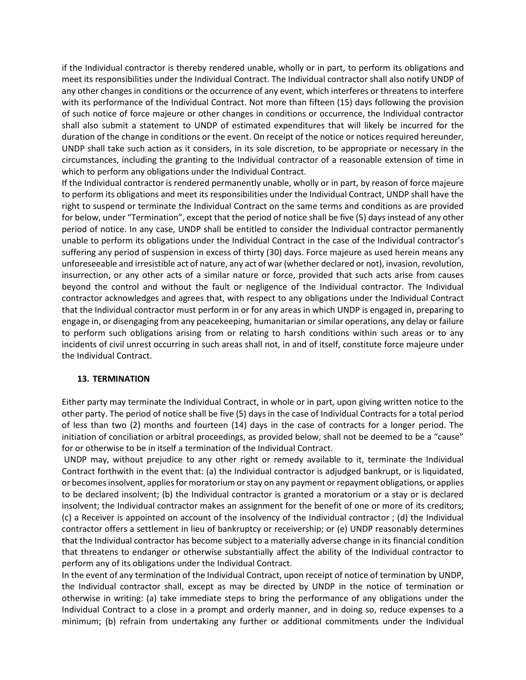if the Individual contractor is thereby rendered unable, wholly or in part, to perform its obligations and meet its responsibilities under the Individual Contract. The Individual contractor shall also notify UNDP of any other changes in conditions or the occurrence of any event, which interferes or threatens to interfere with its performance of the Individual Contract. Not more than fifteen (15) days following the provision of such notice of force majeure or other changes in conditions or occurrence, the Individual contractor shall also submit a statement to UNDP of estimated expenditures that will likely be incurred for the duration of the change in conditions or the event. On receipt of the notice or notices required hereunder, UNDP shall take such action as it considers, in its sole discretion, to be appropriate or necessary in the circumstances, including the granting to the Individual contractor of a reasonable extension of time in which to perform any obligations under the Individual Contract.

If the Individual contractor is rendered permanently unable, wholly or in part, by reason of force majeure to perform its obligations and meet its responsibilities under the Individual Contract, UNDP shall have the right to suspend or terminate the Individual Contract on the same terms and conditions as are provided for below, under "Termination", except that the period of notice shall be five (5) days instead of any other period of notice. In any case, UNDP shall be entitled to consider the Individual contractor permanently unable to perform its obligations under the Individual Contract in the case of the Individual contractor's suffering any period of suspension in excess of thirty (30) days. Force majeure as used herein means any unforeseeable and irresistible act of nature, any act of war (whether declared or not), invasion, revolution, insurrection, or any other acts of a similar nature or force, provided that such acts arise from causes beyond the control and without the fault or negligence of the Individual contractor. The Individual contractor acknowledges and agrees that, with respect to any obligations under the Individual Contract that the Individual contractor must perform in or for any areas in which UNDP is engaged in, preparing to engage in, or disengaging from any peacekeeping, humanitarian or similar operations, any delay or failure to perform such obligations arising from or relating to harsh conditions within such areas or to any incidents of civil unrest occurring in such areas shall not, in and of itself, constitute force majeure under the Individual Contract.

#### **13. TERMINATION**

Either party may terminate the Individual Contract, in whole or in part, upon giving written notice to the other party. The period of notice shall be five (5) days in the case of Individual Contracts for a total period of less than two (2) months and fourteen (14) days in the case of contracts for a longer period. The initiation of conciliation or arbitral proceedings, as provided below, shall not be deemed to be a "cause" for or otherwise to be in itself a termination of the Individual Contract.

UNDP may, without prejudice to any other right or remedy available to it, terminate the Individual Contract forthwith in the event that: (a) the Individual contractor is adjudged bankrupt, or is liquidated, or becomes insolvent, applies for moratorium or stay on any payment or repayment obligations, or applies to be declared insolvent; (b) the Individual contractor is granted a moratorium or a stay or is declared insolvent; the Individual contractor makes an assignment for the benefit of one or more of its creditors; (c) a Receiver is appointed on account of the insolvency of the Individual contractor ; (d) the Individual contractor offers a settlement in lieu of bankruptcy or receivership; or (e) UNDP reasonably determines that the Individual contractor has become subject to a materially adverse change in its financial condition that threatens to endanger or otherwise substantially affect the ability of the Individual contractor to perform any of its obligations under the Individual Contract.

In the event of any termination of the Individual Contract, upon receipt of notice of termination by UNDP, the Individual contractor shall, except as may be directed by UNDP in the notice of termination or otherwise in writing: (a) take immediate steps to bring the performance of any obligations under the Individual Contract to a close in a prompt and orderly manner, and in doing so, reduce expenses to a minimum; (b) refrain from undertaking any further or additional commitments under the Individual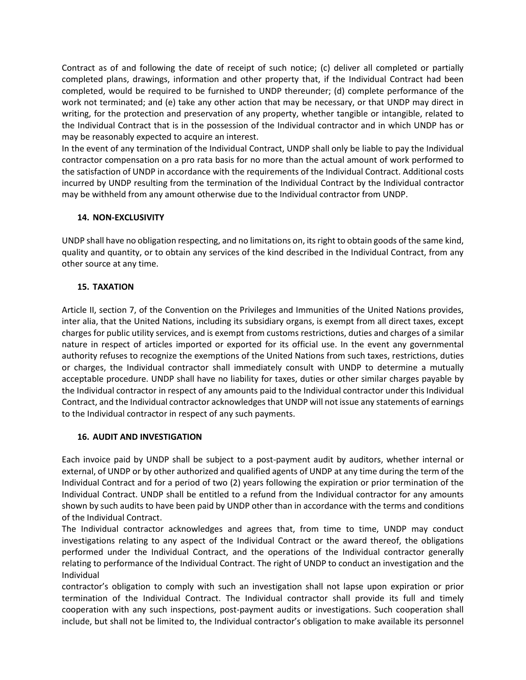Contract as of and following the date of receipt of such notice; (c) deliver all completed or partially completed plans, drawings, information and other property that, if the Individual Contract had been completed, would be required to be furnished to UNDP thereunder; (d) complete performance of the work not terminated; and (e) take any other action that may be necessary, or that UNDP may direct in writing, for the protection and preservation of any property, whether tangible or intangible, related to the Individual Contract that is in the possession of the Individual contractor and in which UNDP has or may be reasonably expected to acquire an interest.

In the event of any termination of the Individual Contract, UNDP shall only be liable to pay the Individual contractor compensation on a pro rata basis for no more than the actual amount of work performed to the satisfaction of UNDP in accordance with the requirements of the Individual Contract. Additional costs incurred by UNDP resulting from the termination of the Individual Contract by the Individual contractor may be withheld from any amount otherwise due to the Individual contractor from UNDP.

#### **14. NON-EXCLUSIVITY**

UNDP shall have no obligation respecting, and no limitations on, its right to obtain goods of the same kind, quality and quantity, or to obtain any services of the kind described in the Individual Contract, from any other source at any time.

#### **15. TAXATION**

Article II, section 7, of the Convention on the Privileges and Immunities of the United Nations provides, inter alia, that the United Nations, including its subsidiary organs, is exempt from all direct taxes, except charges for public utility services, and is exempt from customs restrictions, duties and charges of a similar nature in respect of articles imported or exported for its official use. In the event any governmental authority refuses to recognize the exemptions of the United Nations from such taxes, restrictions, duties or charges, the Individual contractor shall immediately consult with UNDP to determine a mutually acceptable procedure. UNDP shall have no liability for taxes, duties or other similar charges payable by the Individual contractor in respect of any amounts paid to the Individual contractor under this Individual Contract, and the Individual contractor acknowledges that UNDP will not issue any statements of earnings to the Individual contractor in respect of any such payments.

#### **16. AUDIT AND INVESTIGATION**

Each invoice paid by UNDP shall be subject to a post-payment audit by auditors, whether internal or external, of UNDP or by other authorized and qualified agents of UNDP at any time during the term of the Individual Contract and for a period of two (2) years following the expiration or prior termination of the Individual Contract. UNDP shall be entitled to a refund from the Individual contractor for any amounts shown by such audits to have been paid by UNDP other than in accordance with the terms and conditions of the Individual Contract.

The Individual contractor acknowledges and agrees that, from time to time, UNDP may conduct investigations relating to any aspect of the Individual Contract or the award thereof, the obligations performed under the Individual Contract, and the operations of the Individual contractor generally relating to performance of the Individual Contract. The right of UNDP to conduct an investigation and the Individual

contractor's obligation to comply with such an investigation shall not lapse upon expiration or prior termination of the Individual Contract. The Individual contractor shall provide its full and timely cooperation with any such inspections, post-payment audits or investigations. Such cooperation shall include, but shall not be limited to, the Individual contractor's obligation to make available its personnel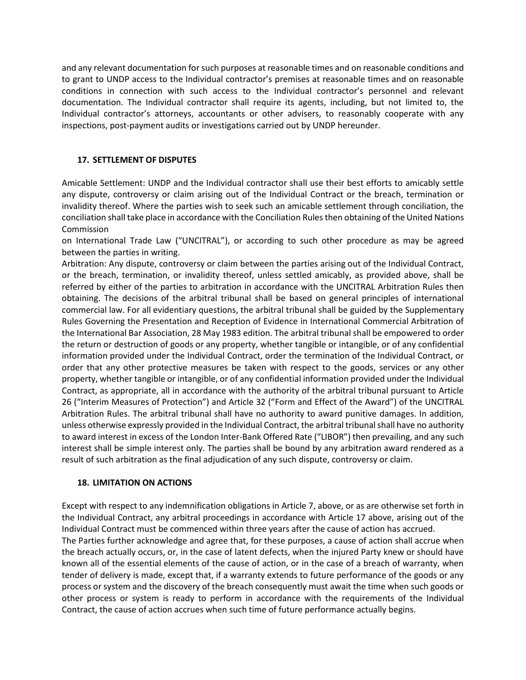and any relevant documentation for such purposes at reasonable times and on reasonable conditions and to grant to UNDP access to the Individual contractor's premises at reasonable times and on reasonable conditions in connection with such access to the Individual contractor's personnel and relevant documentation. The Individual contractor shall require its agents, including, but not limited to, the Individual contractor's attorneys, accountants or other advisers, to reasonably cooperate with any inspections, post-payment audits or investigations carried out by UNDP hereunder.

### **17. SETTLEMENT OF DISPUTES**

Amicable Settlement: UNDP and the Individual contractor shall use their best efforts to amicably settle any dispute, controversy or claim arising out of the Individual Contract or the breach, termination or invalidity thereof. Where the parties wish to seek such an amicable settlement through conciliation, the conciliation shall take place in accordance with the Conciliation Rules then obtaining of the United Nations Commission

on International Trade Law ("UNCITRAL"), or according to such other procedure as may be agreed between the parties in writing.

Arbitration: Any dispute, controversy or claim between the parties arising out of the Individual Contract, or the breach, termination, or invalidity thereof, unless settled amicably, as provided above, shall be referred by either of the parties to arbitration in accordance with the UNCITRAL Arbitration Rules then obtaining. The decisions of the arbitral tribunal shall be based on general principles of international commercial law. For all evidentiary questions, the arbitral tribunal shall be guided by the Supplementary Rules Governing the Presentation and Reception of Evidence in International Commercial Arbitration of the International Bar Association, 28 May 1983 edition. The arbitral tribunal shall be empowered to order the return or destruction of goods or any property, whether tangible or intangible, or of any confidential information provided under the Individual Contract, order the termination of the Individual Contract, or order that any other protective measures be taken with respect to the goods, services or any other property, whether tangible or intangible, or of any confidential information provided under the Individual Contract, as appropriate, all in accordance with the authority of the arbitral tribunal pursuant to Article 26 ("Interim Measures of Protection") and Article 32 ("Form and Effect of the Award") of the UNCITRAL Arbitration Rules. The arbitral tribunal shall have no authority to award punitive damages. In addition, unless otherwise expressly provided in the Individual Contract, the arbitral tribunal shall have no authority to award interest in excess of the London Inter-Bank Offered Rate ("LIBOR") then prevailing, and any such interest shall be simple interest only. The parties shall be bound by any arbitration award rendered as a result of such arbitration as the final adjudication of any such dispute, controversy or claim.

#### **18. LIMITATION ON ACTIONS**

Except with respect to any indemnification obligations in Article 7, above, or as are otherwise set forth in the Individual Contract, any arbitral proceedings in accordance with Article 17 above, arising out of the Individual Contract must be commenced within three years after the cause of action has accrued. The Parties further acknowledge and agree that, for these purposes, a cause of action shall accrue when the breach actually occurs, or, in the case of latent defects, when the injured Party knew or should have known all of the essential elements of the cause of action, or in the case of a breach of warranty, when tender of delivery is made, except that, if a warranty extends to future performance of the goods or any process or system and the discovery of the breach consequently must await the time when such goods or other process or system is ready to perform in accordance with the requirements of the Individual Contract, the cause of action accrues when such time of future performance actually begins.